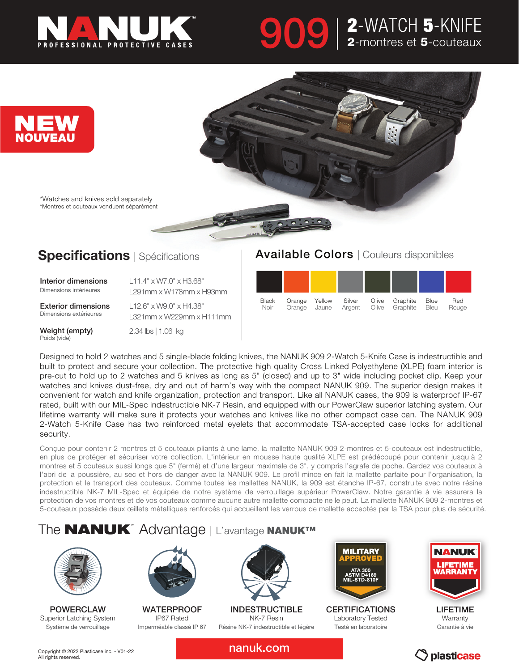

# 909 | 2-WATCH 5-KNIFE 2-montres et 5-couteaux



### **Specifications** | Spécifications

Interior dimensions Dimensions intérieures

L11.4" x W7.0" x H3.68" L291mm x W178mm x H93mm

Exterior dimensions Dimensions extérieures

Weight (empty) Poids (vide)

L12.6" x W9.0" x H4.38" L321mm x W229mm x H111mm 2.34 lbs | 1.06 kg

#### Available Colors | Couleurs disponibles



Designed to hold 2 watches and 5 single-blade folding knives, the NANUK 909 2-Watch 5-Knife Case is indestructible and built to protect and secure your collection. The protective high quality Cross Linked Polyethylene (XLPE) foam interior is pre-cut to hold up to 2 watches and 5 knives as long as 5" (closed) and up to 3" wide including pocket clip. Keep your watches and knives dust-free, dry and out of harm's way with the compact NANUK 909. The superior design makes it convenient for watch and knife organization, protection and transport. Like all NANUK cases, the 909 is waterproof IP-67 rated, built with our MIL-Spec indestructible NK-7 Resin, and equipped with our PowerClaw superior latching system. Our lifetime warranty will make sure it protects your watches and knives like no other compact case can. The NANUK 909 2-Watch 5-Knife Case has two reinforced metal eyelets that accommodate TSA-accepted case locks for additional security.

Conçue pour contenir 2 montres et 5 couteaux pliants à une lame, la mallette NANUK 909 2-montres et 5-couteaux est indestructible, en plus de protéger et sécuriser votre collection. L'intérieur en mousse haute qualité XLPE est prédécoupé pour contenir jusqu'à 2 montres et 5 couteaux aussi longs que 5" (fermé) et d'une largeur maximale de 3", y compris l'agrafe de poche. Gardez vos couteaux à l'abri de la poussière, au sec et hors de danger avec la NANUK 909. Le profil mince en fait la mallette parfaite pour l'organisation, la protection et le transport des couteaux. Comme toutes les mallettes NANUK, la 909 est étanche IP-67, construite avec notre résine indestructible NK-7 MIL-Spec et équipée de notre système de verrouillage supérieur PowerClaw. Notre garantie à vie assurera la protection de vos montres et de vos couteaux comme aucune autre mallette compacte ne le peut. La mallette NANUK 909 2-montres et 5-couteaux possède deux œillets métalliques renforcés qui accueillent les verrous de mallette acceptés par la TSA pour plus de sécurité.

### The **NANUK**™ Advantage | L'avantage NANUK™



POWERCLAW Superior Latching System Système de verrouillage



**WATERPROOF** IP67 Rated Imperméable classé IP 67



INDESTRUCTIBLE NK-7 Resin Résine NK-7 indestructible et légère



**CERTIFICATIONS** Laboratory Tested Testé en laboratoire



LIFETIME **Warranty** Garantie à vie